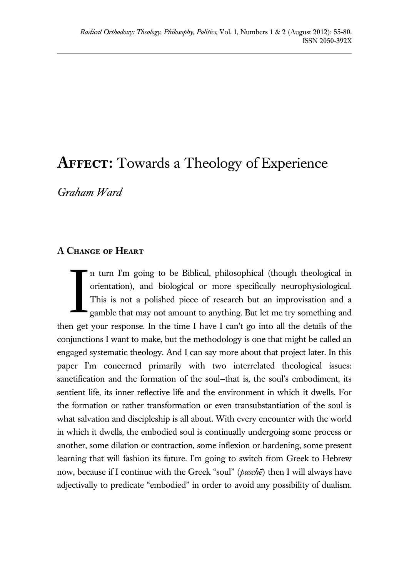# **Affect:** Towards a Theology of Experience

*Graham Ward*

## **A Change of Heart**

n turn I'm going to be Biblical, philosophical (though theological in orientation), and biological or more specifically neurophysiological. This is not a polished piece of research but an improvisation and a gamble that may not amount to anything. But let me try something and then get your response. In the time I have I can't go into all the details of the conjunctions I want to make, but the methodology is one that might be called an engaged systematic theology. And I can say more about that project later. In this paper I'm concerned primarily with two interrelated theological issues: sanctification and the formation of the soul-that is, the soul's embodiment, its sentient life, its inner reflective life and the environment in which it dwells. For the formation or rather transformation or even transubstantiation of the soul is what salvation and discipleship is all about. With every encounter with the world in which it dwells, the embodied soul is continually undergoing some process or another, some dilation or contraction, some inflexion or hardening, some present learning that will fashion its future. I'm going to switch from Greek to Hebrew now, because if I continue with the Greek "soul" (*puschē*) then I will always have adjectivally to predicate "embodied" in order to avoid any possibility of dualism. I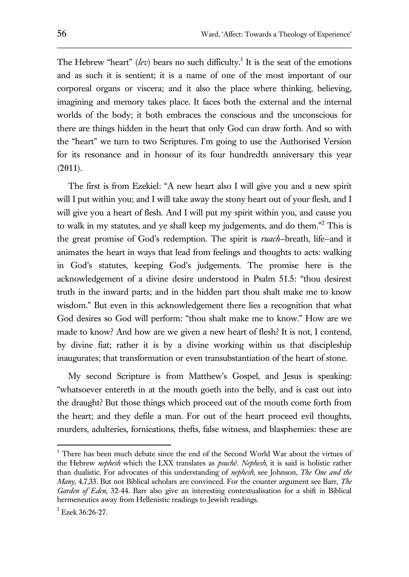The Hebrew "heart" (*lev*) bears no such difficulty.<sup>1</sup> It is the seat of the emotions and as such it is sentient; it is a name of one of the most important of our corporeal organs or viscera; and it also the place where thinking, believing, imagining and memory takes place. It faces both the external and the internal worlds of the body; it both embraces the conscious and the unconscious for there are things hidden in the heart that only God can draw forth. And so with the "heart" we turn to two Scriptures. I'm going to use the Authorised Version for its resonance and in honour of its four hundredth anniversary this year (2011).

The first is from Ezekiel: "A new heart also I will give you and a new spirit will I put within you; and I will take away the stony heart out of your flesh, and I will give you a heart of flesh. And I will put my spirit within you, and cause you to walk in my statutes, and ye shall keep my judgements, and do them."<sup>2</sup> This is the great promise of God's redemption. The spirit is *ruach*—breath, life—and it animates the heart in ways that lead from feelings and thoughts to acts: walking in God's statutes, keeping God's judgements. The promise here is the acknowledgement of a divine desire understood in Psalm 51.5: "thou desirest truth in the inward parts; and in the hidden part thou shalt make me to know wisdom." But even in this acknowledgement there lies a recognition that what God desires so God will perform: "thou shalt make me to know." How are we made to know? And how are we given a new heart of flesh? It is not, I contend, by divine fiat; rather it is by a divine working within us that discipleship inaugurates; that transformation or even transubstantiation of the heart of stone.

My second Scripture is from Matthew's Gospel, and Jesus is speaking: "whatsoever entereth in at the mouth goeth into the belly, and is cast out into the draught? But those things which proceed out of the mouth come forth from the heart; and they defile a man. For out of the heart proceed evil thoughts, murders, adulteries, fornications, thefts, false witness, and blasphemies: these are

 $<sup>1</sup>$  There has been much debate since the end of the Second World War about the virtues of</sup> the Hebrew *nephesh* which the LXX translates as *psuchē*. *Nephesh*, it is said is holistic rather than dualistic. For advocates of this understanding of *nephesh*, see Johnson, *The One and the Many,* 4,7,33. But not Biblical scholars are convinced. For the counter argument see Barr, *The Garden of Eden,* 32-44. Barr also give an interesting contextualisation for a shift in Biblical hermeneutics away from Hellenistic readings to Jewish readings.

 $2$  Ezek 36:26-27.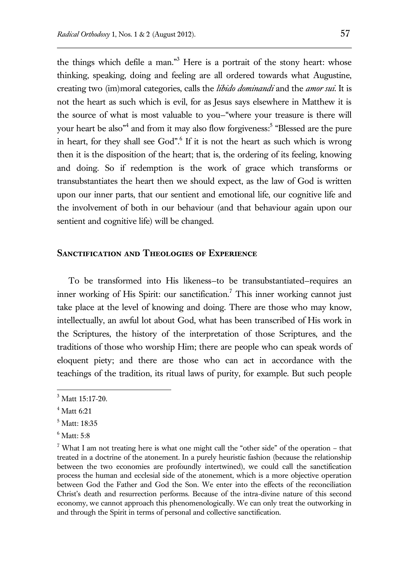the things which defile a man."<sup>3</sup> Here is a portrait of the stony heart: whose thinking, speaking, doing and feeling are all ordered towards what Augustine, creating two (im)moral categories, calls the *libido dominandi* and the *amor sui*. It is not the heart as such which is evil, for as Jesus says elsewhere in Matthew it is the source of what is most valuable to you—"where your treasure is there will your heart be also<sup>34</sup> and from it may also flow forgiveness:<sup>5</sup> "Blessed are the pure in heart, for they shall see God".<sup>6</sup> If it is not the heart as such which is wrong then it is the disposition of the heart; that is, the ordering of its feeling, knowing and doing. So if redemption is the work of grace which transforms or transubstantiates the heart then we should expect, as the law of God is written upon our inner parts, that our sentient and emotional life, our cognitive life and the involvement of both in our behaviour (and that behaviour again upon our sentient and cognitive life) will be changed.

### **Sanctification and Theologies of Experience**

To be transformed into His likeness—to be transubstantiated—requires an inner working of His Spirit: our sanctification.<sup>7</sup> This inner working cannot just take place at the level of knowing and doing. There are those who may know, intellectually, an awful lot about God, what has been transcribed of His work in the Scriptures, the history of the interpretation of those Scriptures, and the traditions of those who worship Him; there are people who can speak words of eloquent piety; and there are those who can act in accordance with the teachings of the tradition, its ritual laws of purity, for example. But such people

 $3$  Matt 15:17-20.

 $4$  Matt 6:21

<sup>5</sup> Matt: 18:35

 $6$  Matt:  $5:8$ 

<sup>&</sup>lt;sup>7</sup> What I am not treating here is what one might call the "other side" of the operation – that treated in a doctrine of the atonement. In a purely heuristic fashion (because the relationship between the two economies are profoundly intertwined), we could call the sanctification process the human and ecclesial side of the atonement, which is a more objective operation between God the Father and God the Son. We enter into the effects of the reconciliation Christ's death and resurrection performs. Because of the intra-divine nature of this second economy, we cannot approach this phenomenologically. We can only treat the outworking in and through the Spirit in terms of personal and collective sanctification.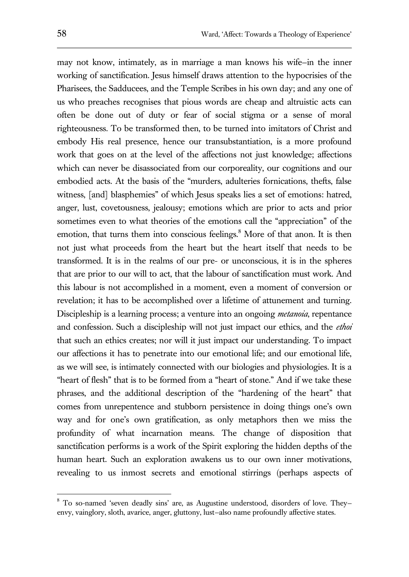may not know, intimately, as in marriage a man knows his wife—in the inner working of sanctification. Jesus himself draws attention to the hypocrisies of the Pharisees, the Sadducees, and the Temple Scribes in his own day; and any one of us who preaches recognises that pious words are cheap and altruistic acts can often be done out of duty or fear of social stigma or a sense of moral righteousness. To be transformed then, to be turned into imitators of Christ and embody His real presence, hence our transubstantiation, is a more profound work that goes on at the level of the affections not just knowledge; affections which can never be disassociated from our corporeality, our cognitions and our embodied acts. At the basis of the "murders, adulteries fornications, thefts, false witness, [and] blasphemies" of which Jesus speaks lies a set of emotions: hatred, anger, lust, covetousness, jealousy; emotions which are prior to acts and prior sometimes even to what theories of the emotions call the "appreciation" of the emotion, that turns them into conscious feelings. $8$  More of that anon. It is then not just what proceeds from the heart but the heart itself that needs to be transformed. It is in the realms of our pre- or unconscious, it is in the spheres that are prior to our will to act, that the labour of sanctification must work. And this labour is not accomplished in a moment, even a moment of conversion or revelation; it has to be accomplished over a lifetime of attunement and turning. Discipleship is a learning process; a venture into an ongoing *metanoia*, repentance and confession. Such a discipleship will not just impact our ethics, and the *ethoi*  that such an ethics creates; nor will it just impact our understanding. To impact our affections it has to penetrate into our emotional life; and our emotional life, as we will see, is intimately connected with our biologies and physiologies. It is a "heart of flesh" that is to be formed from a "heart of stone." And if we take these phrases, and the additional description of the "hardening of the heart" that comes from unrepentence and stubborn persistence in doing things one's own way and for one's own gratification, as only metaphors then we miss the profundity of what incarnation means. The change of disposition that sanctification performs is a work of the Spirit exploring the hidden depths of the human heart. Such an exploration awakens us to our own inner motivations, revealing to us inmost secrets and emotional stirrings (perhaps aspects of

<sup>8</sup> To so-named 'seven deadly sins' are, as Augustine understood, disorders of love. They envy, vainglory, sloth, avarice, anger, gluttony, lust—also name profoundly affective states.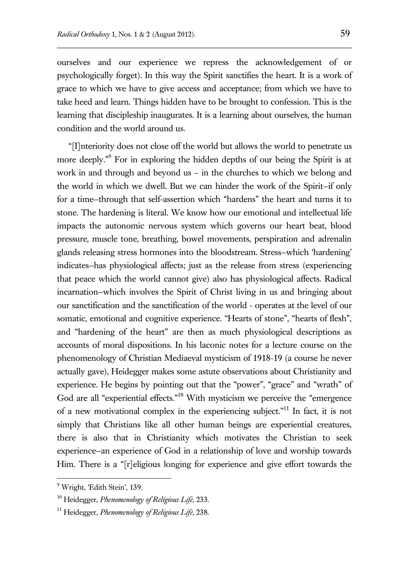ourselves and our experience we repress the acknowledgement of or psychologically forget). In this way the Spirit sanctifies the heart. It is a work of grace to which we have to give access and acceptance; from which we have to take heed and learn. Things hidden have to be brought to confession. This is the learning that discipleship inaugurates. It is a learning about ourselves, the human condition and the world around us.

"[I]nteriority does not close off the world but allows the world to penetrate us more deeply." 9 For in exploring the hidden depths of our being the Spirit is at work in and through and beyond us – in the churches to which we belong and the world in which we dwell. But we can hinder the work of the Spirit—if only for a time—through that self-assertion which "hardens" the heart and turns it to stone. The hardening is literal. We know how our emotional and intellectual life impacts the autonomic nervous system which governs our heart beat, blood pressure, muscle tone, breathing, bowel movements, perspiration and adrenalin glands releasing stress hormones into the bloodstream. Stress—which 'hardening' indicates—has physiological affects; just as the release from stress (experiencing that peace which the world cannot give) also has physiological affects. Radical incarnation—which involves the Spirit of Christ living in us and bringing about our sanctification and the sanctification of the world - operates at the level of our somatic, emotional and cognitive experience. "Hearts of stone", "hearts of flesh", and "hardening of the heart" are then as much physiological descriptions as accounts of moral dispositions. In his laconic notes for a lecture course on the phenomenology of Christian Mediaeval mysticism of 1918-19 (a course he never actually gave), Heidegger makes some astute observations about Christianity and experience. He begins by pointing out that the "power", "grace" and "wrath" of God are all "experiential effects."<sup>10</sup> With mysticism we perceive the "emergence of a new motivational complex in the experiencing subject."<sup>11</sup> In fact, it is not simply that Christians like all other human beings are experiential creatures, there is also that in Christianity which motivates the Christian to seek experience—an experience of God in a relationship of love and worship towards Him. There is a "[r]eligious longing for experience and give effort towards the

<sup>&</sup>lt;sup>9</sup> Wright, 'Edith Stein', 139.

<sup>10</sup> Heidegger, *Phenomenology of Religious Life,* 233.

<sup>11</sup> Heidegger, *Phenomenology of Religious Life,* 238.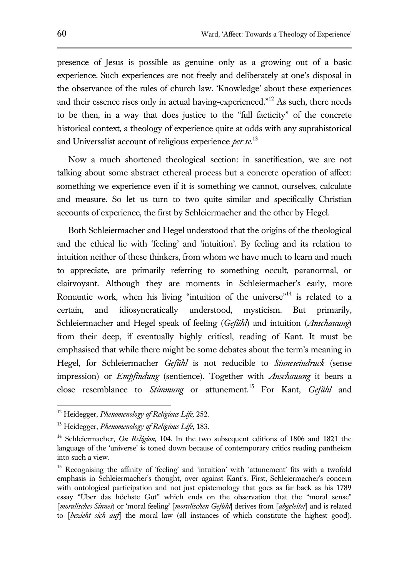presence of Jesus is possible as genuine only as a growing out of a basic experience. Such experiences are not freely and deliberately at one's disposal in the observance of the rules of church law. 'Knowledge' about these experiences and their essence rises only in actual having-experienced."<sup>12</sup> As such, there needs to be then, in a way that does justice to the "full facticity" of the concrete historical context, a theology of experience quite at odds with any suprahistorical and Universalist account of religious experience *per se*. 13

Now a much shortened theological section: in sanctification, we are not talking about some abstract ethereal process but a concrete operation of affect: something we experience even if it is something we cannot, ourselves, calculate and measure. So let us turn to two quite similar and specifically Christian accounts of experience, the first by Schleiermacher and the other by Hegel.

Both Schleiermacher and Hegel understood that the origins of the theological and the ethical lie with 'feeling' and 'intuition'. By feeling and its relation to intuition neither of these thinkers, from whom we have much to learn and much to appreciate, are primarily referring to something occult, paranormal, or clairvoyant. Although they are moments in Schleiermacher's early, more Romantic work, when his living "intuition of the universe"<sup>14</sup> is related to a certain, and idiosyncratically understood, mysticism. But primarily, Schleiermacher and Hegel speak of feeling (*Gefühl*) and intuition (*Anschauung*) from their deep, if eventually highly critical, reading of Kant. It must be emphasised that while there might be some debates about the term's meaning in Hegel, for Schleiermacher *Gefühl* is not reducible to *Sinneseindruck* (sense impression) or *Empfindung* (sentience). Together with *Anschauung* it bears a close resemblance to *Stimmung* or attunement.<sup>15</sup> For Kant, *Gefühl* and

<sup>12</sup> Heidegger, *Phenomenology of Religious Life,* 252.

<sup>13</sup> Heidegger, *Phenomenology of Religious Life*, 183.

<sup>14</sup> Schleiermacher, *On Religion*, 104. In the two subsequent editions of 1806 and 1821 the language of the 'universe' is toned down because of contemporary critics reading pantheism into such a view.

<sup>&</sup>lt;sup>15</sup> Recognising the affinity of 'feeling' and 'intuition' with 'attunement' fits with a twofold emphasis in Schleiermacher's thought, over against Kant's. First, Schleiermacher's concern with ontological participation and not just epistemology that goes as far back as his 1789 essay "Űber das höchste Gut" which ends on the observation that the "moral sense" [*moralisches Sinnes*) or 'moral feeling' [*moralischen Gefühl*| derives from [*abgeleitet*] and is related to [*bezieht sich auf*] the moral law (all instances of which constitute the highest good).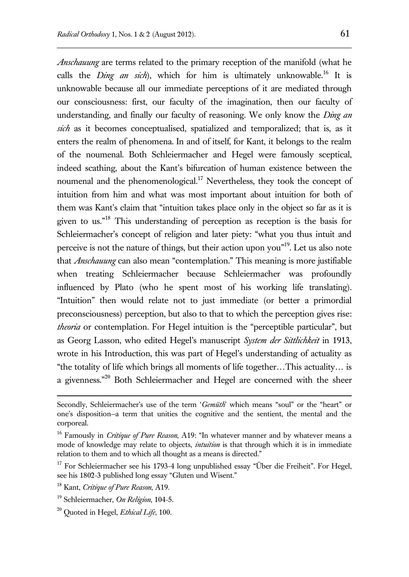*Anschauung* are terms related to the primary reception of the manifold (what he

calls the *Ding an sich*), which for him is ultimately unknowable.<sup>16</sup> It is unknowable because all our immediate perceptions of it are mediated through our consciousness: first, our faculty of the imagination, then our faculty of understanding, and finally our faculty of reasoning. We only know the *Ding an sich* as it becomes conceptualised, spatialized and temporalized; that is, as it enters the realm of phenomena. In and of itself, for Kant, it belongs to the realm of the noumenal. Both Schleiermacher and Hegel were famously sceptical, indeed scathing, about the Kant's bifurcation of human existence between the noumenal and the phenomenological.<sup>17</sup> Nevertheless, they took the concept of intuition from him and what was most important about intuition for both of them was Kant's claim that "intuition takes place only in the object so far as it is given to us."<sup>18</sup> This understanding of perception as reception is the basis for Schleiermacher's concept of religion and later piety: "what you thus intuit and perceive is not the nature of things, but their action upon you"<sup>19</sup>. Let us also note that *Anschauung* can also mean "contemplation." This meaning is more justifiable when treating Schleiermacher because Schleiermacher was profoundly influenced by Plato (who he spent most of his working life translating). "Intuition" then would relate not to just immediate (or better a primordial preconsciousness) perception, but also to that to which the perception gives rise: *theoria* or contemplation. For Hegel intuition is the "perceptible particular", but as Georg Lasson, who edited Hegel's manuscript *System der Sittlichkeit* in 1913, wrote in his Introduction, this was part of Hegel's understanding of actuality as "the totality of life which brings all moments of life together…This actuality… is a givenness."<sup>20</sup> Both Schleiermacher and Hegel are concerned with the sheer

Secondly, Schleiermacher's use of the term '*Gemüth*' which means "soul" or the "heart" or one's disposition—a term that unities the cognitive and the sentient, the mental and the corporeal.

<sup>&</sup>lt;sup>16</sup> Famously in *Critique of Pure Reason*, A19: "In whatever manner and by whatever means a mode of knowledge may relate to objects, *intuition* is that through which it is in immediate relation to them and to which all thought as a means is directed."

<sup>&</sup>lt;sup>17</sup> For Schleiermacher see his 1793-4 long unpublished essay "Über die Freiheit". For Hegel, see his 1802-3 published long essay "Gluten und Wisent."

<sup>18</sup> Kant, *Critique of Pure Reason*, A19.

<sup>19</sup> Schleiermacher, *On Religion*, 104-5.

<sup>20</sup> Quoted in Hegel, *Ethical Life*, 100.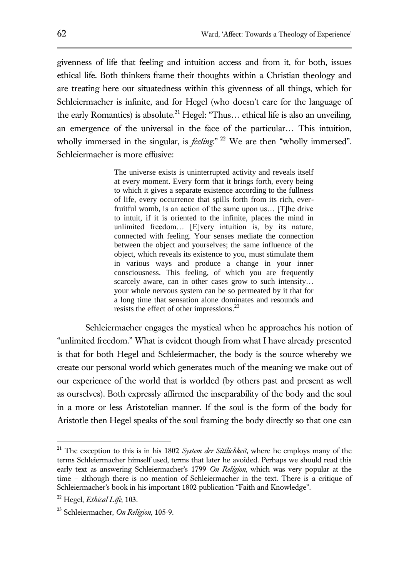givenness of life that feeling and intuition access and from it, for both, issues ethical life. Both thinkers frame their thoughts within a Christian theology and are treating here our situatedness within this givenness of all things, which for Schleiermacher is infinite, and for Hegel (who doesn't care for the language of the early Romantics) is absolute.<sup>21</sup> Hegel: "Thus... ethical life is also an unveiling, an emergence of the universal in the face of the particular… This intuition, wholly immersed in the singular, is *feeling*."<sup>22</sup> We are then "wholly immersed". Schleiermacher is more effusive:

> The universe exists is uninterrupted activity and reveals itself at every moment. Every form that it brings forth, every being to which it gives a separate existence according to the fullness of life, every occurrence that spills forth from its rich, everfruitful womb, is an action of the same upon us… [T]he drive to intuit, if it is oriented to the infinite, places the mind in unlimited freedom… [E]very intuition is, by its nature, connected with feeling. Your senses mediate the connection between the object and yourselves; the same influence of the object, which reveals its existence to you, must stimulate them in various ways and produce a change in your inner consciousness. This feeling, of which you are frequently scarcely aware, can in other cases grow to such intensity... your whole nervous system can be so permeated by it that for a long time that sensation alone dominates and resounds and resists the effect of other impressions.<sup>23</sup>

Schleiermacher engages the mystical when he approaches his notion of "unlimited freedom." What is evident though from what I have already presented is that for both Hegel and Schleiermacher, the body is the source whereby we create our personal world which generates much of the meaning we make out of our experience of the world that is worlded (by others past and present as well as ourselves). Both expressly affirmed the inseparability of the body and the soul in a more or less Aristotelian manner. If the soul is the form of the body for Aristotle then Hegel speaks of the soul framing the body directly so that one can

<sup>21</sup> The exception to this is in his 1802 *System der Sittlichkeit*, where he employs many of the terms Schleiermacher himself used, terms that later he avoided. Perhaps we should read this early text as answering Schleiermacher's 1799 *On Religion*, which was very popular at the time – although there is no mention of Schleiermacher in the text. There is a critique of Schleiermacher's book in his important 1802 publication "Faith and Knowledge".

<sup>22</sup> Hegel, *Ethical Life*, 103.

<sup>23</sup> Schleiermacher, *On Religion*, 105-9.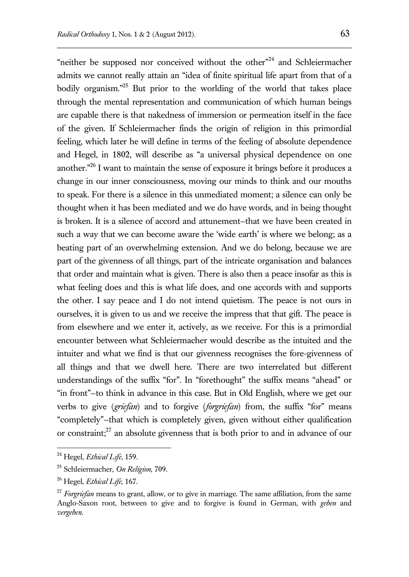"neither be supposed nor conceived without the other"<sup>24</sup> and Schleiermacher admits we cannot really attain an "idea of finite spiritual life apart from that of a bodily organism." <sup>25</sup> But prior to the worlding of the world that takes place through the mental representation and communication of which human beings are capable there is that nakedness of immersion or permeation itself in the face of the given. If Schleiermacher finds the origin of religion in this primordial feeling, which later he will define in terms of the feeling of absolute dependence and Hegel, in 1802, will describe as "a universal physical dependence on one another."<sup>26</sup> I want to maintain the sense of exposure it brings before it produces a change in our inner consciousness, moving our minds to think and our mouths to speak. For there is a silence in this unmediated moment; a silence can only be thought when it has been mediated and we do have words, and in being thought is broken. It is a silence of accord and attunement—that we have been created in such a way that we can become aware the 'wide earth' is where we belong; as a beating part of an overwhelming extension. And we do belong, because we are part of the givenness of all things, part of the intricate organisation and balances that order and maintain what is given. There is also then a peace insofar as this is what feeling does and this is what life does, and one accords with and supports the other. I say peace and I do not intend quietism. The peace is not ours in ourselves, it is given to us and we receive the impress that that gift. The peace is from elsewhere and we enter it, actively, as we receive. For this is a primordial encounter between what Schleiermacher would describe as the intuited and the intuiter and what we find is that our givenness recognises the fore-givenness of all things and that we dwell here. There are two interrelated but different understandings of the suffix "for". In "forethought" the suffix means "ahead" or "in front"—to think in advance in this case. But in Old English, where we get our verbs to give (*griefan*) and to forgive (*forgriefan*) from, the suffix "for" means "completely"—that which is completely given, given without either qualification or constraint;<sup>27</sup> an absolute givenness that is both prior to and in advance of our

<sup>24</sup> Hegel, *Ethical Life*, 159.

<sup>25</sup> Schleiermacher, *On Religion*, 709.

<sup>26</sup> Hegel, *Ethical Life*, 167.

<sup>&</sup>lt;sup>27</sup> *Forgriefan* means to grant, allow, or to give in marriage. The same affiliation, from the same Anglo-Saxon root, between to give and to forgive is found in German, with *geben* and *vergeben*.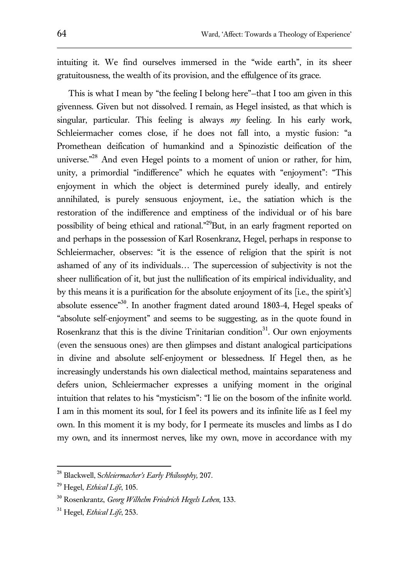intuiting it. We find ourselves immersed in the "wide earth", in its sheer gratuitousness, the wealth of its provision, and the effulgence of its grace.

This is what I mean by "the feeling I belong here"—that I too am given in this givenness. Given but not dissolved. I remain, as Hegel insisted, as that which is singular, particular. This feeling is always *my* feeling. In his early work, Schleiermacher comes close, if he does not fall into, a mystic fusion: "a Promethean deification of humankind and a Spinozistic deification of the universe."<sup>28</sup> And even Hegel points to a moment of union or rather, for him, unity, a primordial "indifference" which he equates with "enjoyment": "This enjoyment in which the object is determined purely ideally, and entirely annihilated, is purely sensuous enjoyment, i.e., the satiation which is the restoration of the indifference and emptiness of the individual or of his bare possibility of being ethical and rational."<sup>29</sup>But, in an early fragment reported on and perhaps in the possession of Karl Rosenkranz, Hegel, perhaps in response to Schleiermacher, observes: "it is the essence of religion that the spirit is not ashamed of any of its individuals… The supercession of subjectivity is not the sheer nullification of it, but just the nullification of its empirical individuality, and by this means it is a purification for the absolute enjoyment of its [i.e., the spirit's] absolute essence<sup>330</sup>. In another fragment dated around 1803-4, Hegel speaks of "absolute self-enjoyment" and seems to be suggesting, as in the quote found in Rosenkranz that this is the divine Trinitarian condition<sup>31</sup>. Our own enjoyments (even the sensuous ones) are then glimpses and distant analogical participations in divine and absolute self-enjoyment or blessedness. If Hegel then, as he increasingly understands his own dialectical method, maintains separateness and defers union, Schleiermacher expresses a unifying moment in the original intuition that relates to his "mysticism": "I lie on the bosom of the infinite world. I am in this moment its soul, for I feel its powers and its infinite life as I feel my own. In this moment it is my body, for I permeate its muscles and limbs as I do my own, and its innermost nerves, like my own, move in accordance with my

<sup>28</sup> Blackwell, S*chleiermacher's Early Philosophy,* 207.

<sup>29</sup> Hegel, *Ethical Life*, 105.

<sup>30</sup> Rosenkrantz, *Georg Wilhelm Friedrich Hegels Leben*, 133.

<sup>31</sup> Hegel, *Ethical Life*, 253.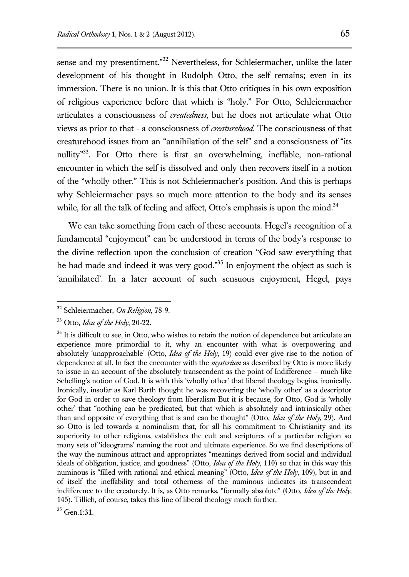sense and my presentiment."<sup>32</sup> Nevertheless, for Schleiermacher, unlike the later development of his thought in Rudolph Otto, the self remains; even in its immersion. There is no union. It is this that Otto critiques in his own exposition of religious experience before that which is "holy." For Otto, Schleiermacher articulates a consciousness of *createdness*, but he does not articulate what Otto views as prior to that - a consciousness of *creaturehood*. The consciousness of that creaturehood issues from an "annihilation of the self" and a consciousness of "its nullity<sup>33</sup>. For Otto there is first an overwhelming, ineffable, non-rational encounter in which the self is dissolved and only then recovers itself in a notion of the "wholly other." This is not Schleiermacher's position. And this is perhaps why Schleiermacher pays so much more attention to the body and its senses while, for all the talk of feeling and affect, Otto's emphasis is upon the mind. $34$ 

We can take something from each of these accounts. Hegel's recognition of a fundamental "enjoyment" can be understood in terms of the body's response to the divine reflection upon the conclusion of creation "God saw everything that he had made and indeed it was very good."<sup>35</sup> In enjoyment the object as such is 'annihilated'. In a later account of such sensuous enjoyment, Hegel, pays

 $\overline{a}$ 

<sup>35</sup> Gen.1:31.

<sup>32</sup> Schleiermacher, *On Religion*, 78-9.

<sup>33</sup> Otto, *Idea of the Holy*, 20-22.

<sup>&</sup>lt;sup>34</sup> It is difficult to see, in Otto, who wishes to retain the notion of dependence but articulate an experience more primordial to it, why an encounter with what is overpowering and absolutely 'unapproachable' (Otto, *Idea of the Holy*, 19) could ever give rise to the notion of dependence at all. In fact the encounter with the *mysterium* as described by Otto is more likely to issue in an account of the absolutely transcendent as the point of Indifference – much like Schelling's notion of God. It is with this 'wholly other' that liberal theology begins, ironically. Ironically, insofar as Karl Barth thought he was recovering the 'wholly other' as a descriptor for God in order to save theology from liberalism But it is because, for Otto, God is 'wholly other' that "nothing can be predicated, but that which is absolutely and intrinsically other than and opposite of everything that is and can be thought" (Otto, *Idea of the Holy*, 29). And so Otto is led towards a nominalism that, for all his commitment to Christianity and its superiority to other religions, establishes the cult and scriptures of a particular religion so many sets of 'ideograms' naming the root and ultimate experience. So we find descriptions of the way the numinous attract and appropriates "meanings derived from social and individual ideals of obligation, justice, and goodness" (Otto, *Idea of the Holy*, 110) so that in this way this numinous is "filled with rational and ethical meaning" (Otto, *Idea of the Holy*, 109), but in and of itself the ineffability and total otherness of the numinous indicates its transcendent indifference to the creaturely. It is, as Otto remarks, "formally absolute" (Otto, *Idea of the Holy*, 145). Tillich, of course, takes this line of liberal theology much further.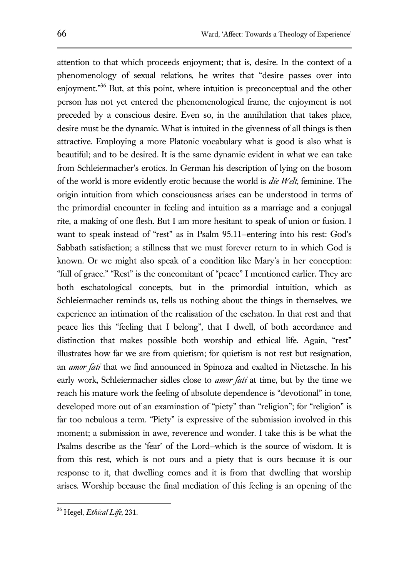attention to that which proceeds enjoyment; that is, desire. In the context of a phenomenology of sexual relations, he writes that "desire passes over into enjoyment."<sup>36</sup> But, at this point, where intuition is preconceptual and the other person has not yet entered the phenomenological frame, the enjoyment is not preceded by a conscious desire. Even so, in the annihilation that takes place, desire must be the dynamic. What is intuited in the givenness of all things is then attractive. Employing a more Platonic vocabulary what is good is also what is beautiful; and to be desired. It is the same dynamic evident in what we can take from Schleiermacher's erotics. In German his description of lying on the bosom of the world is more evidently erotic because the world is *die Welt*, feminine. The origin intuition from which consciousness arises can be understood in terms of the primordial encounter in feeling and intuition as a marriage and a conjugal rite, a making of one flesh. But I am more hesitant to speak of union or fusion. I want to speak instead of "rest" as in Psalm 95.11—entering into his rest: God's Sabbath satisfaction; a stillness that we must forever return to in which God is known. Or we might also speak of a condition like Mary's in her conception: "full of grace." "Rest" is the concomitant of "peace" I mentioned earlier. They are both eschatological concepts, but in the primordial intuition, which as Schleiermacher reminds us, tells us nothing about the things in themselves, we experience an intimation of the realisation of the eschaton. In that rest and that peace lies this "feeling that I belong", that I dwell, of both accordance and distinction that makes possible both worship and ethical life. Again, "rest" illustrates how far we are from quietism; for quietism is not rest but resignation, an *amor fati* that we find announced in Spinoza and exalted in Nietzsche. In his early work, Schleiermacher sidles close to *amor fati* at time, but by the time we reach his mature work the feeling of absolute dependence is "devotional" in tone, developed more out of an examination of "piety" than "religion"; for "religion" is far too nebulous a term. "Piety" is expressive of the submission involved in this moment; a submission in awe, reverence and wonder. I take this is be what the Psalms describe as the 'fear' of the Lord—which is the source of wisdom. It is from this rest, which is not ours and a piety that is ours because it is our response to it, that dwelling comes and it is from that dwelling that worship arises. Worship because the final mediation of this feeling is an opening of the

<sup>36</sup> Hegel, *Ethical Life*, 231.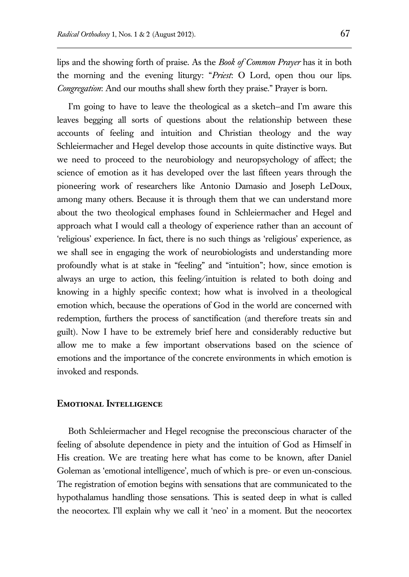lips and the showing forth of praise. As the *Book of Common Prayer* has it in both the morning and the evening liturgy: "*Priest*: O Lord, open thou our lips. *Congregation*: And our mouths shall shew forth they praise." Prayer is born.

I'm going to have to leave the theological as a sketch—and I'm aware this leaves begging all sorts of questions about the relationship between these accounts of feeling and intuition and Christian theology and the way Schleiermacher and Hegel develop those accounts in quite distinctive ways. But we need to proceed to the neurobiology and neuropsychology of affect; the science of emotion as it has developed over the last fifteen years through the pioneering work of researchers like Antonio Damasio and Joseph LeDoux, among many others. Because it is through them that we can understand more about the two theological emphases found in Schleiermacher and Hegel and approach what I would call a theology of experience rather than an account of 'religious' experience. In fact, there is no such things as 'religious' experience, as we shall see in engaging the work of neurobiologists and understanding more profoundly what is at stake in "feeling" and "intuition"; how, since emotion is always an urge to action, this feeling/intuition is related to both doing and knowing in a highly specific context; how what is involved in a theological emotion which, because the operations of God in the world are concerned with redemption, furthers the process of sanctification (and therefore treats sin and guilt). Now I have to be extremely brief here and considerably reductive but allow me to make a few important observations based on the science of emotions and the importance of the concrete environments in which emotion is invoked and responds.

## **Emotional Intelligence**

Both Schleiermacher and Hegel recognise the preconscious character of the feeling of absolute dependence in piety and the intuition of God as Himself in His creation. We are treating here what has come to be known, after Daniel Goleman as 'emotional intelligence', much of which is pre- or even un-conscious. The registration of emotion begins with sensations that are communicated to the hypothalamus handling those sensations. This is seated deep in what is called the neocortex. I'll explain why we call it 'neo' in a moment. But the neocortex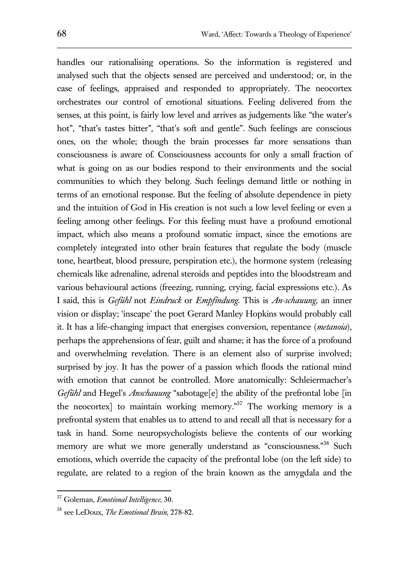handles our rationalising operations. So the information is registered and analysed such that the objects sensed are perceived and understood; or, in the case of feelings, appraised and responded to appropriately. The neocortex orchestrates our control of emotional situations. Feeling delivered from the senses, at this point, is fairly low level and arrives as judgements like "the water's hot", "that's tastes bitter", "that's soft and gentle". Such feelings are conscious ones, on the whole; though the brain processes far more sensations than consciousness is aware of. Consciousness accounts for only a small fraction of what is going on as our bodies respond to their environments and the social communities to which they belong. Such feelings demand little or nothing in terms of an emotional response. But the feeling of absolute dependence in piety and the intuition of God in His creation is not such a low level feeling or even a feeling among other feelings. For this feeling must have a profound emotional impact, which also means a profound somatic impact, since the emotions are completely integrated into other brain features that regulate the body (muscle tone, heartbeat, blood pressure, perspiration etc.), the hormone system (releasing chemicals like adrenaline, adrenal steroids and peptides into the bloodstream and various behavioural actions (freezing, running, crying, facial expressions etc.). As I said, this is *Gefühl* not *Eindruck* or *Empfindung*. This is *An-schauung*, an inner vision or display; 'inscape' the poet Gerard Manley Hopkins would probably call it. It has a life-changing impact that energises conversion, repentance (*metanoia*), perhaps the apprehensions of fear, guilt and shame; it has the force of a profound and overwhelming revelation. There is an element also of surprise involved; surprised by joy. It has the power of a passion which floods the rational mind with emotion that cannot be controlled. More anatomically: Schleiermacher's *Gefühl* and Hegel's *Anschauung* "sabotage<sup>[e]</sup> the ability of the prefrontal lobe [in] the neocortex] to maintain working memory.<sup>37</sup> The working memory is a prefrontal system that enables us to attend to and recall all that is necessary for a task in hand. Some neuropsychologists believe the contents of our working memory are what we more generally understand as "consciousness."<sup>38</sup> Such emotions, which override the capacity of the prefrontal lobe (on the left side) to regulate, are related to a region of the brain known as the amygdala and the

<sup>37</sup> Goleman, *Emotional Intelligence*, 30.

<sup>38</sup> see LeDoux, *The Emotional Brain,* 278-82.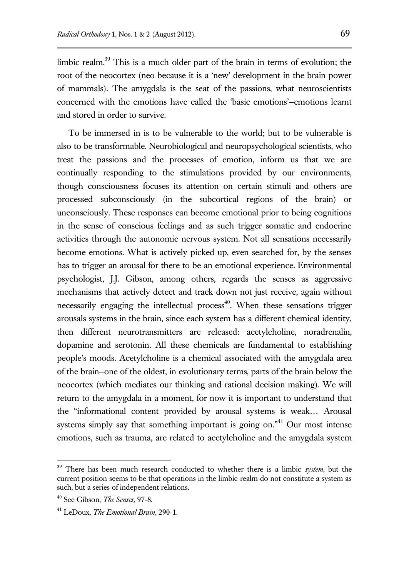limbic realm. <sup>39</sup> This is a much older part of the brain in terms of evolution; the root of the neocortex (neo because it is a 'new' development in the brain power of mammals). The amygdala is the seat of the passions, what neuroscientists concerned with the emotions have called the 'basic emotions'—emotions learnt and stored in order to survive.

To be immersed in is to be vulnerable to the world; but to be vulnerable is also to be transformable. Neurobiological and neuropsychological scientists, who treat the passions and the processes of emotion, inform us that we are continually responding to the stimulations provided by our environments, though consciousness focuses its attention on certain stimuli and others are processed subconsciously (in the subcortical regions of the brain) or unconsciously. These responses can become emotional prior to being cognitions in the sense of conscious feelings and as such trigger somatic and endocrine activities through the autonomic nervous system. Not all sensations necessarily become emotions. What is actively picked up, even searched for, by the senses has to trigger an arousal for there to be an emotional experience. Environmental psychologist, J.J. Gibson, among others, regards the senses as aggressive mechanisms that actively detect and track down not just receive, again without necessarily engaging the intellectual process<sup> $40$ </sup>. When these sensations trigger arousals systems in the brain, since each system has a different chemical identity, then different neurotransmitters are released: acetylcholine, noradrenalin, dopamine and serotonin. All these chemicals are fundamental to establishing people's moods. Acetylcholine is a chemical associated with the amygdala area of the brain—one of the oldest, in evolutionary terms, parts of the brain below the neocortex (which mediates our thinking and rational decision making). We will return to the amygdala in a moment, for now it is important to understand that the "informational content provided by arousal systems is weak… Arousal systems simply say that something important is going on.<sup> $n<sup>41</sup>$ </sup> Our most intense emotions, such as trauma, are related to acetylcholine and the amygdala system

<sup>39</sup> There has been much research conducted to whether there is a limbic *system*, but the current position seems to be that operations in the limbic realm do not constitute a system as such, but a series of independent relations.

<sup>40</sup> See Gibson, *The Senses,* 97-8.

<sup>41</sup> LeDoux, *The Emotional Brain*, 290-1.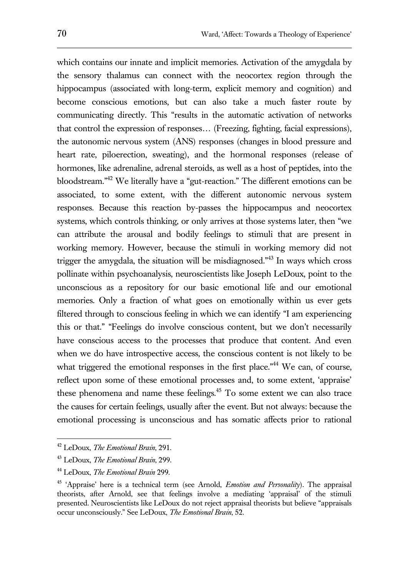which contains our innate and implicit memories. Activation of the amygdala by the sensory thalamus can connect with the neocortex region through the hippocampus (associated with long-term, explicit memory and cognition) and become conscious emotions, but can also take a much faster route by communicating directly. This "results in the automatic activation of networks that control the expression of responses… (Freezing, fighting, facial expressions), the autonomic nervous system (ANS) responses (changes in blood pressure and heart rate, piloerection, sweating), and the hormonal responses (release of hormones, like adrenaline, adrenal steroids, as well as a host of peptides, into the bloodstream." <sup>42</sup> We literally have a "gut-reaction." The different emotions can be associated, to some extent, with the different autonomic nervous system responses. Because this reaction by-passes the hippocampus and neocortex systems, which controls thinking, or only arrives at those systems later, then "we can attribute the arousal and bodily feelings to stimuli that are present in working memory. However, because the stimuli in working memory did not trigger the amygdala, the situation will be misdiagnosed."<sup>43</sup> In ways which cross pollinate within psychoanalysis, neuroscientists like Joseph LeDoux, point to the unconscious as a repository for our basic emotional life and our emotional memories. Only a fraction of what goes on emotionally within us ever gets filtered through to conscious feeling in which we can identify "I am experiencing this or that." "Feelings do involve conscious content, but we don't necessarily have conscious access to the processes that produce that content. And even when we do have introspective access, the conscious content is not likely to be what triggered the emotional responses in the first place."<sup>44</sup> We can, of course, reflect upon some of these emotional processes and, to some extent, 'appraise' these phenomena and name these feelings.<sup>45</sup> To some extent we can also trace the causes for certain feelings, usually after the event. But not always: because the emotional processing is unconscious and has somatic affects prior to rational

<sup>42</sup> LeDoux, *The Emotional Brain*, 291.

<sup>43</sup> LeDoux, *The Emotional Brain*, 299.

<sup>44</sup> LeDoux, *The Emotional Brain* 299.

<sup>45</sup> 'Appraise' here is a technical term (see Arnold, *Emotion and Personality*). The appraisal theorists, after Arnold, see that feelings involve a mediating 'appraisal' of the stimuli presented. Neuroscientists like LeDoux do not reject appraisal theorists but believe "appraisals occur unconsciously." See LeDoux, *The Emotional Brain*, 52.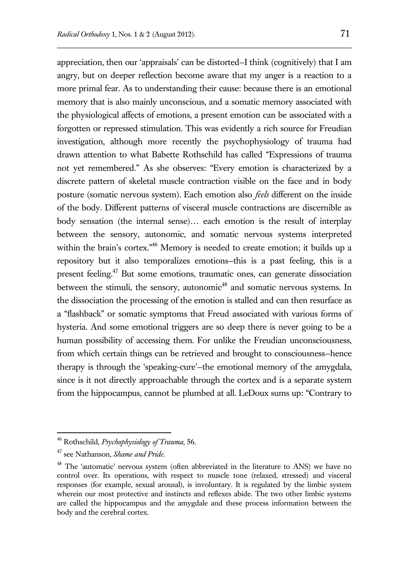appreciation, then our 'appraisals' can be distorted—I think (cognitively) that I am angry, but on deeper reflection become aware that my anger is a reaction to a more primal fear. As to understanding their cause: because there is an emotional memory that is also mainly unconscious, and a somatic memory associated with the physiological affects of emotions, a present emotion can be associated with a forgotten or repressed stimulation. This was evidently a rich source for Freudian investigation, although more recently the psychophysiology of trauma had drawn attention to what Babette Rothschild has called "Expressions of trauma not yet remembered." As she observes: "Every emotion is characterized by a discrete pattern of skeletal muscle contraction visible on the face and in body posture (somatic nervous system). Each emotion also *feels* different on the inside of the body. Different patterns of visceral muscle contractions are discernible as body sensation (the internal sense)… each emotion is the result of interplay between the sensory, autonomic, and somatic nervous systems interpreted within the brain's cortex."<sup>46</sup> Memory is needed to create emotion; it builds up a repository but it also temporalizes emotions—this is a past feeling, this is a present feeling.<sup>47</sup> But some emotions, traumatic ones, can generate dissociation between the stimuli, the sensory, autonomic<sup>48</sup> and somatic nervous systems. In the dissociation the processing of the emotion is stalled and can then resurface as a "flashback" or somatic symptoms that Freud associated with various forms of hysteria. And some emotional triggers are so deep there is never going to be a human possibility of accessing them. For unlike the Freudian unconsciousness, from which certain things can be retrieved and brought to consciousness—hence therapy is through the 'speaking-cure'—the emotional memory of the amygdala, since is it not directly approachable through the cortex and is a separate system from the hippocampus, cannot be plumbed at all. LeDoux sums up: "Contrary to

<sup>46</sup> Rothschild, *Psychophysiology of Trauma*, 56.

<sup>47</sup> see Nathanson, *Shame and Pride.*

<sup>&</sup>lt;sup>48</sup> The 'automatic' nervous system (often abbreviated in the literature to ANS) we have no control over. Its operations, with respect to muscle tone (relaxed, stressed) and visceral responses (for example, sexual arousal), is involuntary. It is regulated by the limbic system wherein our most protective and instincts and reflexes abide. The two other limbic systems are called the hippocampus and the amygdale and these process information between the body and the cerebral cortex.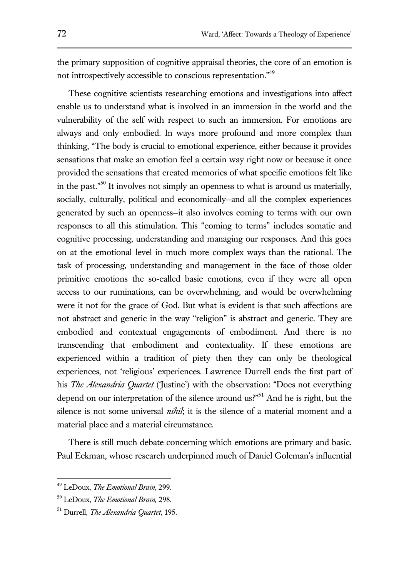the primary supposition of cognitive appraisal theories, the core of an emotion is not introspectively accessible to conscious representation."<sup>49</sup>

These cognitive scientists researching emotions and investigations into affect enable us to understand what is involved in an immersion in the world and the vulnerability of the self with respect to such an immersion. For emotions are always and only embodied. In ways more profound and more complex than thinking, "The body is crucial to emotional experience, either because it provides sensations that make an emotion feel a certain way right now or because it once provided the sensations that created memories of what specific emotions felt like in the past." <sup>50</sup> It involves not simply an openness to what is around us materially, socially, culturally, political and economically—and all the complex experiences generated by such an openness—it also involves coming to terms with our own responses to all this stimulation. This "coming to terms" includes somatic and cognitive processing, understanding and managing our responses. And this goes on at the emotional level in much more complex ways than the rational. The task of processing, understanding and management in the face of those older primitive emotions the so-called basic emotions, even if they were all open access to our ruminations, can be overwhelming, and would be overwhelming were it not for the grace of God. But what is evident is that such affections are not abstract and generic in the way "religion" is abstract and generic. They are embodied and contextual engagements of embodiment. And there is no transcending that embodiment and contextuality. If these emotions are experienced within a tradition of piety then they can only be theological experiences, not 'religious' experiences. Lawrence Durrell ends the first part of his *The Alexandria Quartet* ('Justine') with the observation: "Does not everything depend on our interpretation of the silence around us?"<sup>51</sup> And he is right, but the silence is not some universal *nihil*; it is the silence of a material moment and a material place and a material circumstance.

There is still much debate concerning which emotions are primary and basic. Paul Eckman, whose research underpinned much of Daniel Goleman's influential

<sup>49</sup> LeDoux, *The Emotional Brain*, 299.

<sup>50</sup> LeDoux, *The Emotional Brain,* 298.

<sup>51</sup> Durrell, *The Alexandria Quartet*, 195.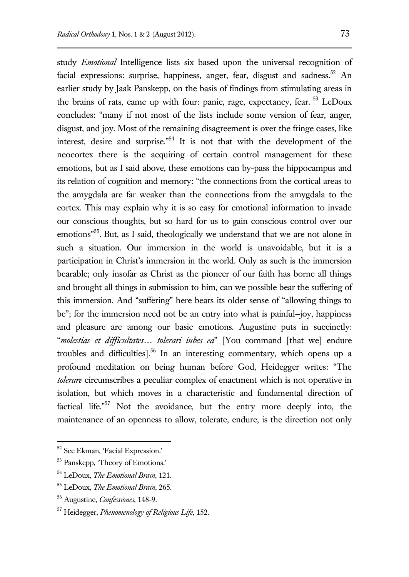study *Emotional* Intelligence lists six based upon the universal recognition of facial expressions: surprise, happiness, anger, fear, disgust and sadness.<sup>52</sup> An earlier study by Jaak Panskepp, on the basis of findings from stimulating areas in the brains of rats, came up with four: panic, rage, expectancy, fear. <sup>53</sup> LeDoux concludes: "many if not most of the lists include some version of fear, anger, disgust, and joy. Most of the remaining disagreement is over the fringe cases, like interest, desire and surprise." <sup>54</sup> It is not that with the development of the neocortex there is the acquiring of certain control management for these emotions, but as I said above, these emotions can by-pass the hippocampus and its relation of cognition and memory: "the connections from the cortical areas to the amygdala are far weaker than the connections from the amygdala to the cortex. This may explain why it is so easy for emotional information to invade our conscious thoughts, but so hard for us to gain conscious control over our emotions"<sup>55</sup>. But, as I said, theologically we understand that we are not alone in such a situation. Our immersion in the world is unavoidable, but it is a participation in Christ's immersion in the world. Only as such is the immersion bearable; only insofar as Christ as the pioneer of our faith has borne all things and brought all things in submission to him, can we possible bear the suffering of this immersion. And "suffering" here bears its older sense of "allowing things to be"; for the immersion need not be an entry into what is painful—joy, happiness and pleasure are among our basic emotions. Augustine puts in succinctly: "*molestias et difficultates… tolerari iubes ea*" [You command [that we] endure troubles and difficulties]. <sup>56</sup> In an interesting commentary, which opens up a profound meditation on being human before God, Heidegger writes: "The *tolerare* circumscribes a peculiar complex of enactment which is not operative in isolation, but which moves in a characteristic and fundamental direction of factical life."<sup>57</sup> Not the avoidance, but the entry more deeply into, the maintenance of an openness to allow, tolerate, endure, is the direction not only

<sup>52</sup> See Ekman, 'Facial Expression.'

<sup>53</sup> Panskepp, 'Theory of Emotions.'

<sup>54</sup> LeDoux, *The Emotional Brain*, 121.

<sup>55</sup> LeDoux, *The Emotional Brain*, 265.

<sup>56</sup> Augustine, *Confessiones*, 148-9.

<sup>57</sup> Heidegger, *Phenomenology of Religious Life*, 152.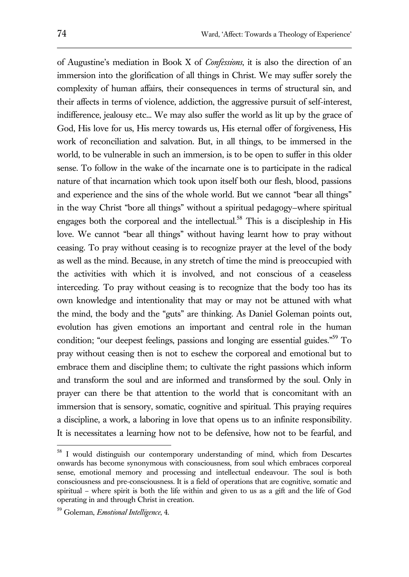of Augustine's mediation in Book X of *Confessions*, it is also the direction of an immersion into the glorification of all things in Christ. We may suffer sorely the complexity of human affairs, their consequences in terms of structural sin, and their affects in terms of violence, addiction, the aggressive pursuit of self-interest, indifference, jealousy etc... We may also suffer the world as lit up by the grace of God, His love for us, His mercy towards us, His eternal offer of forgiveness, His work of reconciliation and salvation. But, in all things, to be immersed in the world, to be vulnerable in such an immersion, is to be open to suffer in this older sense. To follow in the wake of the incarnate one is to participate in the radical nature of that incarnation which took upon itself both our flesh, blood, passions and experience and the sins of the whole world. But we cannot "bear all things" in the way Christ "bore all things" without a spiritual pedagogy—where spiritual engages both the corporeal and the intellectual.<sup>58</sup> This is a discipleship in His love. We cannot "bear all things" without having learnt how to pray without ceasing. To pray without ceasing is to recognize prayer at the level of the body as well as the mind. Because, in any stretch of time the mind is preoccupied with the activities with which it is involved, and not conscious of a ceaseless interceding. To pray without ceasing is to recognize that the body too has its own knowledge and intentionality that may or may not be attuned with what the mind, the body and the "guts" are thinking. As Daniel Goleman points out, evolution has given emotions an important and central role in the human condition; "our deepest feelings, passions and longing are essential guides."<sup>59</sup> To pray without ceasing then is not to eschew the corporeal and emotional but to embrace them and discipline them; to cultivate the right passions which inform and transform the soul and are informed and transformed by the soul. Only in prayer can there be that attention to the world that is concomitant with an immersion that is sensory, somatic, cognitive and spiritual. This praying requires a discipline, a work, a laboring in love that opens us to an infinite responsibility. It is necessitates a learning how not to be defensive, how not to be fearful, and

<sup>&</sup>lt;sup>58</sup> I would distinguish our contemporary understanding of mind, which from Descartes onwards has become synonymous with consciousness, from soul which embraces corporeal sense, emotional memory and processing and intellectual endeavour. The soul is both consciousness and pre-consciousness. It is a field of operations that are cognitive, somatic and spiritual – where spirit is both the life within and given to us as a gift and the life of God operating in and through Christ in creation.

<sup>59</sup> Goleman, *Emotional Intelligence*, 4.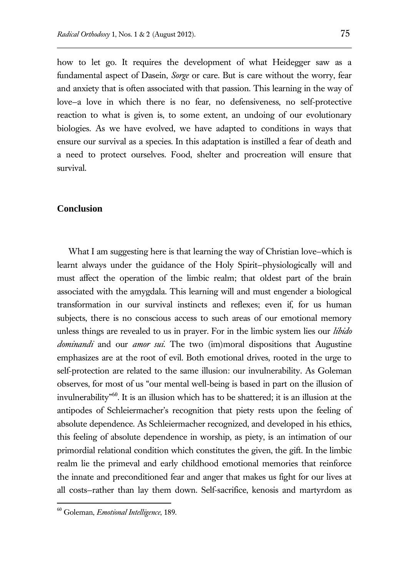how to let go. It requires the development of what Heidegger saw as a fundamental aspect of Dasein, *Sorge* or care. But is care without the worry, fear and anxiety that is often associated with that passion. This learning in the way of love—a love in which there is no fear, no defensiveness, no self-protective reaction to what is given is, to some extent, an undoing of our evolutionary biologies. As we have evolved, we have adapted to conditions in ways that ensure our survival as a species. In this adaptation is instilled a fear of death and a need to protect ourselves. Food, shelter and procreation will ensure that survival.

#### **Conclusion**

What I am suggesting here is that learning the way of Christian love—which is learnt always under the guidance of the Holy Spirit—physiologically will and must affect the operation of the limbic realm; that oldest part of the brain associated with the amygdala. This learning will and must engender a biological transformation in our survival instincts and reflexes; even if, for us human subjects, there is no conscious access to such areas of our emotional memory unless things are revealed to us in prayer. For in the limbic system lies our *libido dominandi* and our *amor sui*. The two (im)moral dispositions that Augustine emphasizes are at the root of evil. Both emotional drives, rooted in the urge to self-protection are related to the same illusion: our invulnerability. As Goleman observes, for most of us "our mental well-being is based in part on the illusion of invulnerability" 60 . It is an illusion which has to be shattered; it is an illusion at the antipodes of Schleiermacher's recognition that piety rests upon the feeling of absolute dependence. As Schleiermacher recognized, and developed in his ethics, this feeling of absolute dependence in worship, as piety, is an intimation of our primordial relational condition which constitutes the given, the gift. In the limbic realm lie the primeval and early childhood emotional memories that reinforce the innate and preconditioned fear and anger that makes us fight for our lives at all costs—rather than lay them down. Self-sacrifice, kenosis and martyrdom as

<sup>60</sup> Goleman, *Emotional Intelligence*, 189.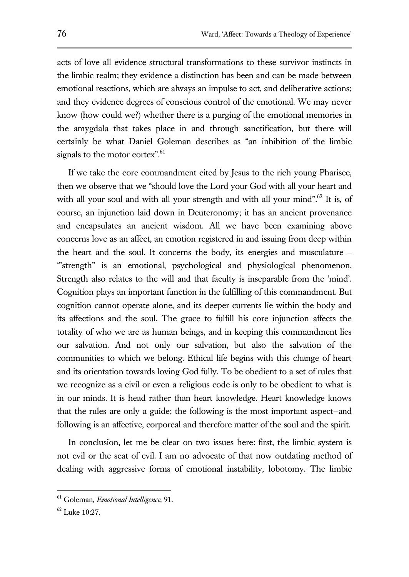acts of love all evidence structural transformations to these survivor instincts in the limbic realm; they evidence a distinction has been and can be made between emotional reactions, which are always an impulse to act, and deliberative actions; and they evidence degrees of conscious control of the emotional. We may never know (how could we?) whether there is a purging of the emotional memories in the amygdala that takes place in and through sanctification, but there will certainly be what Daniel Goleman describes as "an inhibition of the limbic signals to the motor cortex".<sup>61</sup>

If we take the core commandment cited by Jesus to the rich young Pharisee, then we observe that we "should love the Lord your God with all your heart and with all your soul and with all your strength and with all your mind".<sup>62</sup> It is, of course, an injunction laid down in Deuteronomy; it has an ancient provenance and encapsulates an ancient wisdom. All we have been examining above concerns love as an affect, an emotion registered in and issuing from deep within the heart and the soul. It concerns the body, its energies and musculature – '"strength" is an emotional, psychological and physiological phenomenon. Strength also relates to the will and that faculty is inseparable from the 'mind'. Cognition plays an important function in the fulfilling of this commandment. But cognition cannot operate alone, and its deeper currents lie within the body and its affections and the soul. The grace to fulfill his core injunction affects the totality of who we are as human beings, and in keeping this commandment lies our salvation. And not only our salvation, but also the salvation of the communities to which we belong. Ethical life begins with this change of heart and its orientation towards loving God fully. To be obedient to a set of rules that we recognize as a civil or even a religious code is only to be obedient to what is in our minds. It is head rather than heart knowledge. Heart knowledge knows that the rules are only a guide; the following is the most important aspect—and following is an affective, corporeal and therefore matter of the soul and the spirit.

In conclusion, let me be clear on two issues here: first, the limbic system is not evil or the seat of evil. I am no advocate of that now outdating method of dealing with aggressive forms of emotional instability, lobotomy. The limbic

<sup>61</sup> Goleman, *Emotional Intelligence*, 91.

<sup>62</sup> Luke 10:27.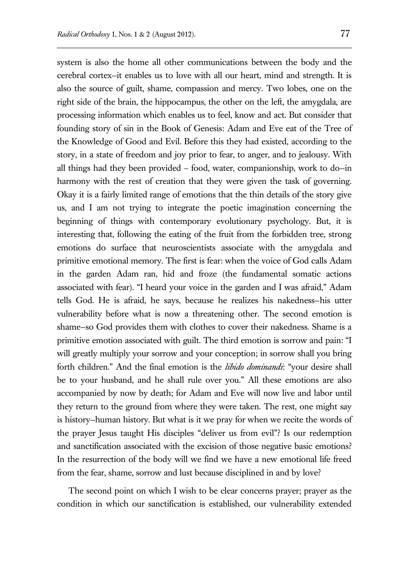system is also the home all other communications between the body and the cerebral cortex—it enables us to love with all our heart, mind and strength. It is also the source of guilt, shame, compassion and mercy. Two lobes, one on the right side of the brain, the hippocampus, the other on the left, the amygdala, are processing information which enables us to feel, know and act. But consider that founding story of sin in the Book of Genesis: Adam and Eve eat of the Tree of the Knowledge of Good and Evil. Before this they had existed, according to the story, in a state of freedom and joy prior to fear, to anger, and to jealousy. With all things had they been provided – food, water, companionship, work to do—in harmony with the rest of creation that they were given the task of governing. Okay it is a fairly limited range of emotions that the thin details of the story give us, and I am not trying to integrate the poetic imagination concerning the beginning of things with contemporary evolutionary psychology. But, it is interesting that, following the eating of the fruit from the forbidden tree, strong emotions do surface that neuroscientists associate with the amygdala and primitive emotional memory. The first is fear: when the voice of God calls Adam in the garden Adam ran, hid and froze (the fundamental somatic actions associated with fear). "I heard your voice in the garden and I was afraid," Adam tells God. He is afraid, he says, because he realizes his nakedness—his utter vulnerability before what is now a threatening other. The second emotion is shame—so God provides them with clothes to cover their nakedness. Shame is a primitive emotion associated with guilt. The third emotion is sorrow and pain: "I will greatly multiply your sorrow and your conception; in sorrow shall you bring forth children." And the final emotion is the *libido dominandi*: "your desire shall be to your husband, and he shall rule over you." All these emotions are also accompanied by now by death; for Adam and Eve will now live and labor until they return to the ground from where they were taken. The rest, one might say is history—human history. But what is it we pray for when we recite the words of the prayer Jesus taught His disciples "deliver us from evil"? Is our redemption and sanctification associated with the excision of those negative basic emotions? In the resurrection of the body will we find we have a new emotional life freed from the fear, shame, sorrow and lust because disciplined in and by love?

The second point on which I wish to be clear concerns prayer; prayer as the condition in which our sanctification is established, our vulnerability extended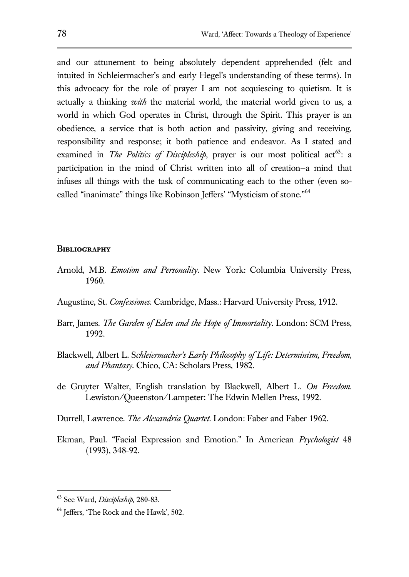and our attunement to being absolutely dependent apprehended (felt and intuited in Schleiermacher's and early Hegel's understanding of these terms). In this advocacy for the role of prayer I am not acquiescing to quietism. It is actually a thinking *with* the material world, the material world given to us, a world in which God operates in Christ, through the Spirit. This prayer is an obedience, a service that is both action and passivity, giving and receiving, responsibility and response; it both patience and endeavor. As I stated and examined in *The Politics of Discipleship*, prayer is our most political act<sup>63</sup>: a participation in the mind of Christ written into all of creation—a mind that infuses all things with the task of communicating each to the other (even socalled "inanimate" things like Robinson Jeffers' "Mysticism of stone."<sup>64</sup>

#### **Bibliography**

- Arnold, M.B. *Emotion and Personality*. New York: Columbia University Press, 1960.
- Augustine, St. *Confessiones*. Cambridge, Mass.: Harvard University Press, 1912.
- Barr, James. *The Garden of Eden and the Hope of Immortality*. London: SCM Press, 1992.
- Blackwell, Albert L. S*chleiermacher's Early Philosophy of Life: Determinism, Freedom, and Phantasy.* Chico, CA: Scholars Press, 1982.
- de Gruyter Walter, English translation by Blackwell, Albert L. *On Freedom*. Lewiston/Queenston/Lampeter: The Edwin Mellen Press, 1992.
- Durrell, Lawrence. *The Alexandria Quartet*. London: Faber and Faber 1962.
- Ekman, Paul. "Facial Expression and Emotion." In American *Psychologist* 48 (1993), 348-92.

<sup>63</sup> See Ward, *Discipleship,* 280-83.

<sup>&</sup>lt;sup>64</sup> Jeffers, 'The Rock and the Hawk', 502.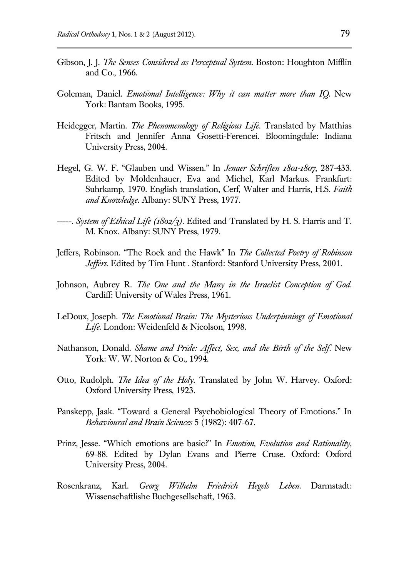- Gibson, J. J. *The Senses Considered as Perceptual System*. Boston: Houghton Mifflin and Co., 1966.
- Goleman, Daniel. *Emotional Intelligence: Why it can matter more than IQ*. New York: Bantam Books, 1995.
- Heidegger*,* Martin. *The Phenomenology of Religious Life*. Translated by Matthias Fritsch and Jennifer Anna Gosetti-Ferencei. Bloomingdale: Indiana University Press, 2004.
- Hegel, G. W. F. "Glauben und Wissen." In *Jenaer Schriften 1801-1807*, 287-433. Edited by Moldenhauer, Eva and Michel, Karl Markus. Frankfurt: Suhrkamp, 1970. English translation, Cerf, Walter and Harris, H.S. *Faith and Knowledge*. Albany: SUNY Press, 1977.
- -----. *System of Ethical Life (1802/3)*. Edited and Translated by H. S. Harris and T. M. Knox. Albany: SUNY Press, 1979.
- Jeffers, Robinson. "The Rock and the Hawk" In *The Collected Poetry of Robinson Jeffers*. Edited by Tim Hunt . Stanford: Stanford University Press, 2001.
- Johnson, Aubrey R. *The One and the Many in the Israelist Conception of God*. Cardiff: University of Wales Press, 1961.
- LeDoux, Joseph. *The Emotional Brain: The Mysterious Underpinnings of Emotional Life*. London: Weidenfeld & Nicolson, 1998.
- Nathanson, Donald. *Shame and Pride: Affect, Sex, and the Birth of the Self*. New York: W. W. Norton & Co., 1994.
- Otto, Rudolph. *The Idea of the Holy*. Translated by John W. Harvey. Oxford: Oxford University Press, 1923.
- Panskepp, Jaak. "Toward a General Psychobiological Theory of Emotions." In *Behavioural and Brain Sciences* 5 (1982): 407-67.
- Prinz, Jesse. "Which emotions are basic?" In *Emotion, Evolution and Rationality*, 69-88. Edited by Dylan Evans and Pierre Cruse. Oxford: Oxford University Press, 2004.
- Rosenkranz, Karl. *Georg Wilhelm Friedrich Hegels Leben*. Darmstadt: Wissenschaftlishe Buchgesellschaft, 1963.